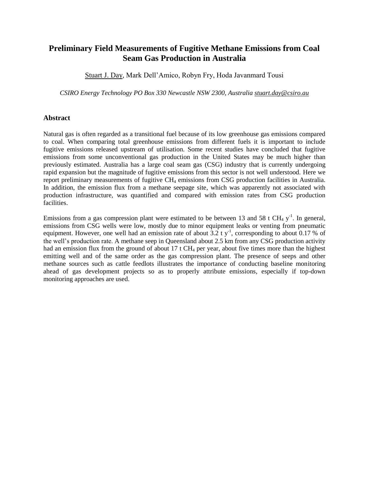# **Preliminary Field Measurements of Fugitive Methane Emissions from Coal Seam Gas Production in Australia**

Stuart J. Day, Mark Dell'Amico, Robyn Fry, Hoda Javanmard Tousi

*CSIRO Energy Technology PO Box 330 Newcastle NSW 2300, Australia stuart.day@csiro.au*

### **Abstract**

Natural gas is often regarded as a transitional fuel because of its low greenhouse gas emissions compared to coal. When comparing total greenhouse emissions from different fuels it is important to include fugitive emissions released upstream of utilisation. Some recent studies have concluded that fugitive emissions from some unconventional gas production in the United States may be much higher than previously estimated. Australia has a large coal seam gas (CSG) industry that is currently undergoing rapid expansion but the magnitude of fugitive emissions from this sector is not well understood. Here we report preliminary measurements of fugitive CH<sub>4</sub> emissions from CSG production facilities in Australia. In addition, the emission flux from a methane seepage site, which was apparently not associated with production infrastructure, was quantified and compared with emission rates from CSG production facilities.

Emissions from a gas compression plant were estimated to be between 13 and 58 t CH<sub>4</sub> y<sup>-1</sup>. In general, emissions from CSG wells were low, mostly due to minor equipment leaks or venting from pneumatic equipment. However, one well had an emission rate of about  $3.2$  t y<sup>-1</sup>, corresponding to about 0.17 % of the well's production rate. A methane seep in Queensland about 2.5 km from any CSG production activity had an emission flux from the ground of about 17 t  $CH_4$  per year, about five times more than the highest emitting well and of the same order as the gas compression plant. The presence of seeps and other methane sources such as cattle feedlots illustrates the importance of conducting baseline monitoring ahead of gas development projects so as to properly attribute emissions, especially if top-down monitoring approaches are used.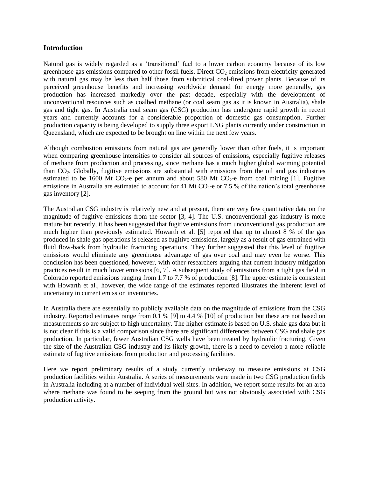### **Introduction**

Natural gas is widely regarded as a 'transitional' fuel to a lower carbon economy because of its low greenhouse gas emissions compared to other fossil fuels. Direct  $CO<sub>2</sub>$  emissions from electricity generated with natural gas may be less than half those from subcritical coal-fired power plants. Because of its perceived greenhouse benefits and increasing worldwide demand for energy more generally, gas production has increased markedly over the past decade, especially with the development of unconventional resources such as coalbed methane (or coal seam gas as it is known in Australia), shale gas and tight gas. In Australia coal seam gas (CSG) production has undergone rapid growth in recent years and currently accounts for a considerable proportion of domestic gas consumption. Further production capacity is being developed to supply three export LNG plants currently under construction in Queensland, which are expected to be brought on line within the next few years.

Although combustion emissions from natural gas are generally lower than other fuels, it is important when comparing greenhouse intensities to consider all sources of emissions, especially fugitive releases of methane from production and processing, since methane has a much higher global warming potential than CO2. Globally, fugitive emissions are substantial with emissions from the oil and gas industries estimated to be 1600 Mt CO<sub>2</sub>-e per annum and about 580 Mt CO<sub>2</sub>-e from coal mining [1]. Fugitive emissions in Australia are estimated to account for 41 Mt  $CO<sub>2</sub>$ -e or 7.5 % of the nation's total greenhouse gas inventory [2].

The Australian CSG industry is relatively new and at present, there are very few quantitative data on the magnitude of fugitive emissions from the sector [3, 4]. The U.S. unconventional gas industry is more mature but recently, it has been suggested that fugitive emissions from unconventional gas production are much higher than previously estimated. Howarth et al. [5] reported that up to almost 8 % of the gas produced in shale gas operations is released as fugitive emissions, largely as a result of gas entrained with fluid flow-back from hydraulic fracturing operations. They further suggested that this level of fugitive emissions would eliminate any greenhouse advantage of gas over coal and may even be worse. This conclusion has been questioned, however, with other researchers arguing that current industry mitigation practices result in much lower emissions [6, 7]. A subsequent study of emissions from a tight gas field in Colorado reported emissions ranging from 1.7 to 7.7 % of production [8]. The upper estimate is consistent with Howarth et al., however, the wide range of the estimates reported illustrates the inherent level of uncertainty in current emission inventories.

In Australia there are essentially no publicly available data on the magnitude of emissions from the CSG industry. Reported estimates range from 0.1 % [9] to 4.4 % [10] of production but these are not based on measurements so are subject to high uncertainty. The higher estimate is based on U.S. shale gas data but it is not clear if this is a valid comparison since there are significant differences between CSG and shale gas production. In particular, fewer Australian CSG wells have been treated by hydraulic fracturing. Given the size of the Australian CSG industry and its likely growth, there is a need to develop a more reliable estimate of fugitive emissions from production and processing facilities.

Here we report preliminary results of a study currently underway to measure emissions at CSG production facilities within Australia. A series of measurements were made in two CSG production fields in Australia including at a number of individual well sites. In addition, we report some results for an area where methane was found to be seeping from the ground but was not obviously associated with CSG production activity.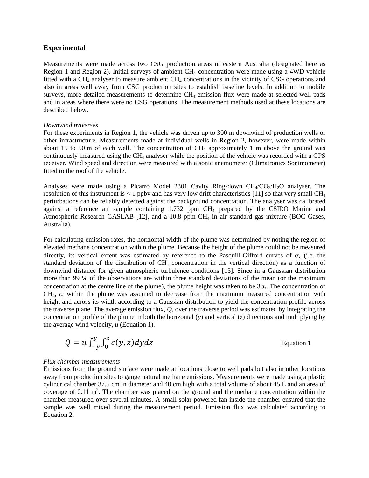#### **Experimental**

Measurements were made across two CSG production areas in eastern Australia (designated here as Region 1 and Region 2). Initial surveys of ambient  $CH_4$  concentration were made using a 4WD vehicle fitted with a CH<sup>4</sup> analyser to measure ambient CH<sup>4</sup> concentrations in the vicinity of CSG operations and also in areas well away from CSG production sites to establish baseline levels. In addition to mobile surveys, more detailed measurements to determine  $CH_4$  emission flux were made at selected well pads and in areas where there were no CSG operations. The measurement methods used at these locations are described below.

#### *Downwind traverses*

For these experiments in Region 1, the vehicle was driven up to 300 m downwind of production wells or other infrastructure. Measurements made at individual wells in Region 2, however, were made within about 15 to 50 m of each well. The concentration of  $CH<sub>4</sub>$  approximately 1 m above the ground was continuously measured using the CH<sup>4</sup> analyser while the position of the vehicle was recorded with a GPS receiver. Wind speed and direction were measured with a sonic anemometer (Climatronics Sonimometer) fitted to the roof of the vehicle.

Analyses were made using a Picarro Model 2301 Cavity Ring-down  $CH_4/CO_2/H_2O$  analyser. The resolution of this instrument is  $< 1$  ppby and has very low drift characteristics [11] so that very small CH<sub>4</sub> perturbations can be reliably detected against the background concentration. The analyser was calibrated against a reference air sample containing 1.732 ppm CH<sup>4</sup> prepared by the CSIRO Marine and Atmospheric Research GASLAB  $[12]$ , and a 10.8 ppm CH<sub>4</sub> in air standard gas mixture (BOC Gases, Australia).

For calculating emission rates, the horizontal width of the plume was determined by noting the region of elevated methane concentration within the plume. Because the height of the plume could not be measured directly, its vertical extent was estimated by reference to the Pasquill-Gifford curves of  $\sigma_z$  (i.e. the standard deviation of the distribution of  $CH<sub>4</sub>$  concentration in the vertical direction) as a function of downwind distance for given atmospheric turbulence conditions [13]. Since in a Gaussian distribution more than 99 % of the observations are within three standard deviations of the mean (or the maximum concentration at the centre line of the plume), the plume height was taken to be  $3\sigma_z$ . The concentration of CH4, *c*, within the plume was assumed to decrease from the maximum measured concentration with height and across its width according to a Gaussian distribution to yield the concentration profile across the traverse plane. The average emission flux, *Q*, over the traverse period was estimated by integrating the concentration profile of the plume in both the horizontal (*y*) and vertical (*z*) directions and multiplying by the average wind velocity, *u* (Equation 1).

$$
Q = u \int_{-y}^{y} \int_{0}^{z} c(y, z) dy dz
$$

#### Equation 1

#### *Flux chamber measurements*

Emissions from the ground surface were made at locations close to well pads but also in other locations away from production sites to gauge natural methane emissions. Measurements were made using a plastic cylindrical chamber 37.5 cm in diameter and 40 cm high with a total volume of about 45 L and an area of coverage of  $0.11 \text{ m}^2$ . The chamber was placed on the ground and the methane concentration within the chamber measured over several minutes. A small solar-powered fan inside the chamber ensured that the sample was well mixed during the measurement period. Emission flux was calculated according to Equation 2.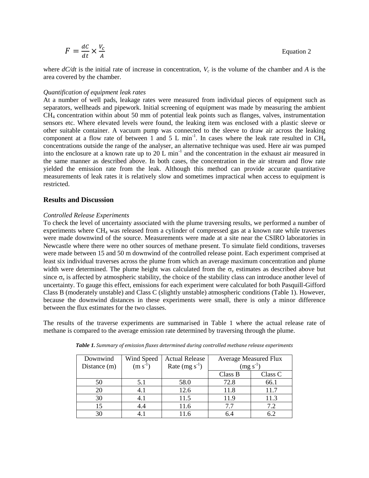$$
F = \frac{dC}{dt} \times \frac{V_c}{A}
$$
 Equation 2

where  $dC/dt$  is the initial rate of increase in concentration,  $V_c$  is the volume of the chamber and A is the area covered by the chamber.

#### *Quantification of equipment leak rates*

At a number of well pads, leakage rates were measured from individual pieces of equipment such as separators, wellheads and pipework. Initial screening of equipment was made by measuring the ambient CH<sup>4</sup> concentration within about 50 mm of potential leak points such as flanges, valves, instrumentation sensors etc. Where elevated levels were found, the leaking item was enclosed with a plastic sleeve or other suitable container. A vacuum pump was connected to the sleeve to draw air across the leaking component at a flow rate of between 1 and 5 L min<sup>-1</sup>. In cases where the leak rate resulted in CH<sub>4</sub> concentrations outside the range of the analyser, an alternative technique was used. Here air was pumped into the enclosure at a known rate up to  $20$  L min<sup>-1</sup> and the concentration in the exhaust air measured in the same manner as described above. In both cases, the concentration in the air stream and flow rate yielded the emission rate from the leak. Although this method can provide accurate quantitative measurements of leak rates it is relatively slow and sometimes impractical when access to equipment is restricted.

#### **Results and Discussion**

#### *Controlled Release Experiments*

To check the level of uncertainty associated with the plume traversing results, we performed a number of experiments where CH<sup>4</sup> was released from a cylinder of compressed gas at a known rate while traverses were made downwind of the source. Measurements were made at a site near the CSIRO laboratories in Newcastle where there were no other sources of methane present. To simulate field conditions, traverses were made between 15 and 50 m downwind of the controlled release point. Each experiment comprised at least six individual traverses across the plume from which an average maximum concentration and plume width were determined. The plume height was calculated from the  $\sigma_z$  estimates as described above but since  $\sigma_z$  is affected by atmospheric stability, the choice of the stability class can introduce another level of uncertainty. To gauge this effect, emissions for each experiment were calculated for both Pasquill-Gifford Class B (moderately unstable) and Class C (slightly unstable) atmospheric conditions (Table 1). However, because the downwind distances in these experiments were small, there is only a minor difference between the flux estimates for the two classes.

The results of the traverse experiments are summarised in Table 1 where the actual release rate of methane is compared to the average emission rate determined by traversing through the plume.

| Downwind<br>Distance (m) | Wind Speed<br>$(m s^{-1})$ | <b>Actual Release</b><br>Rate $(mg s^{-1})$ | <b>Average Measured Flux</b><br>$(mg s^{-1})$ |         |
|--------------------------|----------------------------|---------------------------------------------|-----------------------------------------------|---------|
|                          |                            |                                             | Class B                                       | Class C |
| 50                       | 5.1                        | 58.0                                        | 72.8                                          | 66.1    |
| 20                       | 4.1                        | 12.6                                        | 11.8                                          | 11.7    |
| 30                       | 4.1                        | 11.5                                        | 11.9                                          | 11.3    |
| 15                       | 4.4                        | 11.6                                        | 77                                            | 7.2     |
| 30                       |                            | 11 6                                        | 6.4                                           | 69      |

*Table 1. Summary of emission fluxes determined during controlled methane release experiments*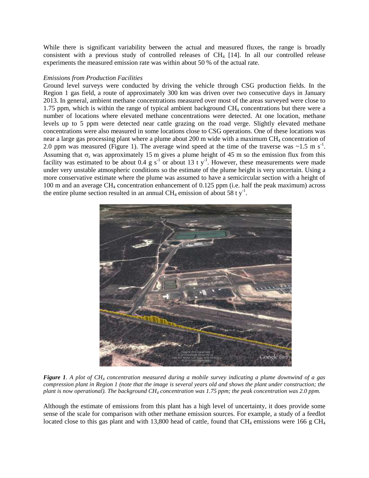While there is significant variability between the actual and measured fluxes, the range is broadly consistent with a previous study of controlled releases of  $CH<sub>4</sub>$  [14]. In all our controlled release experiments the measured emission rate was within about 50 % of the actual rate.

#### *Emissions from Production Facilities*

Ground level surveys were conducted by driving the vehicle through CSG production fields. In the Region 1 gas field, a route of approximately 300 km was driven over two consecutive days in January 2013. In general, ambient methane concentrations measured over most of the areas surveyed were close to 1.75 ppm, which is within the range of typical ambient background  $CH<sub>4</sub>$  concentrations but there were a number of locations where elevated methane concentrations were detected. At one location, methane levels up to 5 ppm were detected near cattle grazing on the road verge. Slightly elevated methane concentrations were also measured in some locations close to CSG operations. One of these locations was near a large gas processing plant where a plume about 200 m wide with a maximum CH<sub>4</sub> concentration of 2.0 ppm was measured (Figure 1). The average wind speed at the time of the traverse was  $\sim$ 1.5 m s<sup>-1</sup>. Assuming that  $\sigma_z$  was approximately 15 m gives a plume height of 45 m so the emission flux from this facility was estimated to be about 0.4 g s<sup>-1</sup> or about 13 t y<sup>-1</sup>. However, these measurements were made under very unstable atmospheric conditions so the estimate of the plume height is very uncertain. Using a more conservative estimate where the plume was assumed to have a semicircular section with a height of 100 m and an average CH<sup>4</sup> concentration enhancement of 0.125 ppm (i.e. half the peak maximum) across the entire plume section resulted in an annual CH<sub>4</sub> emission of about 58 t  $y^{-1}$ .



*Figure 1. A plot of CH<sup>4</sup> concentration measured during a mobile survey indicating a plume downwind of a gas compression plant in Region 1 (note that the image is several years old and shows the plant under construction; the plant is now operational). The background CH<sup>4</sup> concentration was 1.75 ppm; the peak concentration was 2.0 ppm.*

Although the estimate of emissions from this plant has a high level of uncertainty, it does provide some sense of the scale for comparison with other methane emission sources. For example, a study of a feedlot located close to this gas plant and with 13,800 head of cattle, found that  $CH_4$  emissions were 166 g  $CH_4$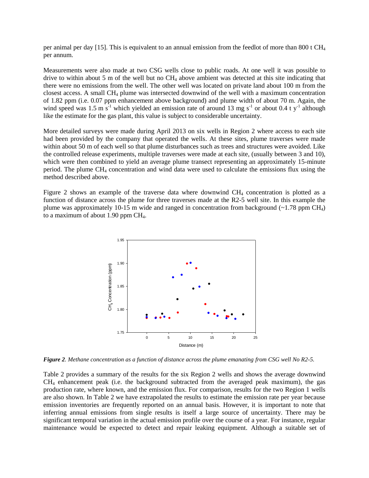per animal per day [15]. This is equivalent to an annual emission from the feedlot of more than 800 t  $CH_4$ per annum.

Measurements were also made at two CSG wells close to public roads. At one well it was possible to drive to within about 5 m of the well but no  $CH_4$  above ambient was detected at this site indicating that there were no emissions from the well. The other well was located on private land about 100 m from the closest access. A small CH<sup>4</sup> plume was intersected downwind of the well with a maximum concentration of 1.82 ppm (i.e. 0.07 ppm enhancement above background) and plume width of about 70 m. Again, the wind speed was 1.5 m  $s^{-1}$  which yielded an emission rate of around 13 mg s<sup>-1</sup> or about 0.4 t y<sup>-1</sup> although like the estimate for the gas plant, this value is subject to considerable uncertainty.

More detailed surveys were made during April 2013 on six wells in Region 2 where access to each site had been provided by the company that operated the wells. At these sites, plume traverses were made within about 50 m of each well so that plume disturbances such as trees and structures were avoided. Like the controlled release experiments, multiple traverses were made at each site, (usually between 3 and 10), which were then combined to yield an average plume transect representing an approximately 15-minute period. The plume CH<sup>4</sup> concentration and wind data were used to calculate the emissions flux using the method described above.

Figure 2 shows an example of the traverse data where downwind CH<sup>4</sup> concentration is plotted as a function of distance across the plume for three traverses made at the R2-5 well site. In this example the plume was approximately 10-15 m wide and ranged in concentration from background  $(\sim 1.78 \text{ ppm CH}_4)$ to a maximum of about  $1.90$  ppm CH<sub>4</sub>.



*Figure 2. Methane concentration as a function of distance across the plume emanating from CSG well No R2-5.*

Table 2 provides a summary of the results for the six Region 2 wells and shows the average downwind  $CH<sub>4</sub>$  enhancement peak (i.e. the background subtracted from the averaged peak maximum), the gas production rate, where known, and the emission flux. For comparison, results for the two Region 1 wells are also shown. In Table 2 we have extrapolated the results to estimate the emission rate per year because emission inventories are frequently reported on an annual basis. However, it is important to note that inferring annual emissions from single results is itself a large source of uncertainty. There may be significant temporal variation in the actual emission profile over the course of a year. For instance, regular maintenance would be expected to detect and repair leaking equipment. Although a suitable set of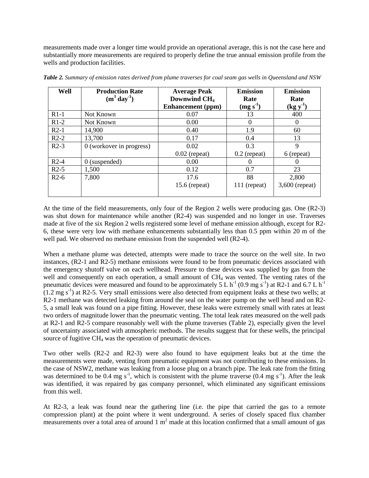measurements made over a longer time would provide an operational average, this is not the case here and substantially more measurements are required to properly define the true annual emission profile from the wells and production facilities.

| Well   | <b>Production Rate</b><br>$(m^3 \, day^{-1})$ | <b>Average Peak</b><br>Downwind CH <sub>4</sub> | <b>Emission</b><br>Rate | <b>Emission</b><br>Rate |
|--------|-----------------------------------------------|-------------------------------------------------|-------------------------|-------------------------|
|        |                                               | <b>Enhancement</b> (ppm)                        | $(mg s-1)$              | $(\text{kg y}^1)$       |
| $R1-1$ | Not Known                                     | 0.07                                            | 13                      | 400                     |
| $R1-2$ | Not Known                                     | 0.00                                            | 0                       | $\theta$                |
| $R2-1$ | 14,900                                        | 0.40                                            | 1.9                     | 60                      |
| $R2-2$ | 13,700                                        | 0.17                                            | 0.4                     | 13                      |
| $R2-3$ | $0$ (workover in progress)                    | 0.02                                            | 0.3                     | 9                       |
|        |                                               | $0.02$ (repeat)                                 | $0.2$ (repeat)          | 6 (repeat)              |
| $R2-4$ | $0$ (suspended)                               | 0.00                                            |                         | $\theta$                |
| $R2-5$ | 1,500                                         | 0.12                                            | 0.7                     | 23                      |
| $R2-6$ | 7,800                                         | 17.6                                            | 88                      | 2,800                   |
|        |                                               | $15.6$ (repeat)                                 | $111$ (repeat)          | $3,600$ (repeat)        |

*Table 2. Summary of emission rates derived from plume traverses for coal seam gas wells in Queensland and NSW*

At the time of the field measurements, only four of the Region 2 wells were producing gas. One (R2-3) was shut down for maintenance while another (R2-4) was suspended and no longer in use. Traverses made at five of the six Region 2 wells registered some level of methane emission although, except for R2- 6, these were very low with methane enhancements substantially less than 0.5 ppm within 20 m of the well pad. We observed no methane emission from the suspended well (R2-4).

When a methane plume was detected, attempts were made to trace the source on the well site. In two instances, (R2-1 and R2-5) methane emissions were found to be from pneumatic devices associated with the emergency shutoff valve on each wellhead. Pressure to these devices was supplied by gas from the well and consequently on each operation, a small amount of CH<sub>4</sub> was vented. The venting rates of the pneumatic devices were measured and found to be approximately 5 L  $h^{-1}$  (0.9 mg s<sup>-1</sup>) at R2-1 and 6.7 L  $h^{-1}$  $(1.2 \text{ mg s}^{-1})$  at R2-5. Very small emissions were also detected from equipment leaks at these two wells; at R2-1 methane was detected leaking from around the seal on the water pump on the well head and on R2- 5, a small leak was found on a pipe fitting. However, these leaks were extremely small with rates at least two orders of magnitude lower than the pneumatic venting. The total leak rates measured on the well pads at R2-1 and R2-5 compare reasonably well with the plume traverses (Table 2), especially given the level of uncertainty associated with atmospheric methods. The results suggest that for these wells, the principal source of fugitive CH<sub>4</sub> was the operation of pneumatic devices.

Two other wells (R2-2 and R2-3) were also found to have equipment leaks but at the time the measurements were made, venting from pneumatic equipment was not contributing to these emissions. In the case of NSW2, methane was leaking from a loose plug on a branch pipe. The leak rate from the fitting was determined to be 0.4 mg s<sup>-1</sup>, which is consistent with the plume traverse  $(0.4 \text{ mg s}^{-1})$ . After the leak was identified, it was repaired by gas company personnel, which eliminated any significant emissions from this well.

At R2-3, a leak was found near the gathering line (i.e. the pipe that carried the gas to a remote compression plant) at the point where it went underground. A series of closely spaced flux chamber measurements over a total area of around  $1 \text{ m}^2$  made at this location confirmed that a small amount of gas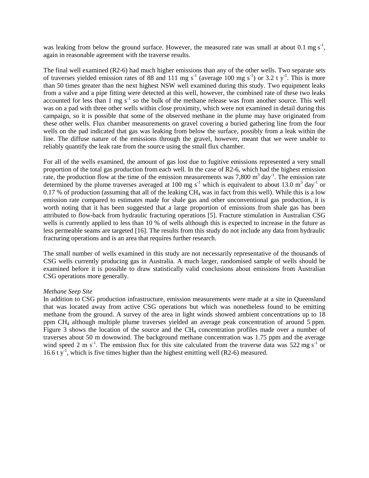was leaking from below the ground surface. However, the measured rate was small at about 0.1 mg  $s^{-1}$ , again in reasonable agreement with the traverse results.

The final well examined (R2-6) had much higher emissions than any of the other wells. Two separate sets of traverses yielded emission rates of 88 and 111 mg s<sup>-1</sup> (average 100 mg s<sup>-1</sup>) or 3.2 t y<sup>-1</sup>. This is more than 50 times greater than the next highest NSW well examined during this study. Two equipment leaks from a valve and a pipe fitting were detected at this well, however, the combined rate of these two leaks accounted for less than  $1 \text{ mg s}^{-1}$  so the bulk of the methane release was from another source. This well was on a pad with three other wells within close proximity, which were not examined in detail during this campaign, so it is possible that some of the observed methane in the plume may have originated from these other wells. Flux chamber measurements on gravel covering a buried gathering line from the four wells on the pad indicated that gas was leaking from below the surface, possibly from a leak within the line. The diffuse nature of the emissions through the gravel, however, meant that we were unable to reliably quantify the leak rate from the source using the small flux chamber.

For all of the wells examined, the amount of gas lost due to fugitive emissions represented a very small proportion of the total gas production from each well. In the case of R2-6, which had the highest emission rate, the production flow at the time of the emission measurements was  $7,800 \text{ m}^3$  day<sup>-1</sup>. The emission rate determined by the plume traverses averaged at 100 mg s<sup>-1</sup> which is equivalent to about 13.0 m<sup>3</sup> day<sup>-1</sup> or 0.17 % of production (assuming that all of the leaking  $CH_4$  was in fact from this well). While this is a low emission rate compared to estimates made for shale gas and other unconventional gas production, it is worth noting that it has been suggested that a large proportion of emissions from shale gas has been attributed to flow-back from hydraulic fracturing operations [5]. Fracture stimulation in Australian CSG wells is currently applied to less than 10 % of wells although this is expected to increase in the future as less permeable seams are targeted [16]. The results from this study do not include any data from hydraulic fracturing operations and is an area that requires further research.

The small number of wells examined in this study are not necessarily representative of the thousands of CSG wells currently producing gas in Australia. A much larger, randomised sample of wells should be examined before it is possible to draw statistically valid conclusions about emissions from Australian CSG operations more generally.

#### *Methane Seep Site*

In addition to CSG production infrastructure, emission measurements were made at a site in Queensland that was located away from active CSG operations but which was nonetheless found to be emitting methane from the ground. A survey of the area in light winds showed ambient concentrations up to 18 ppm CH<sup>4</sup> although multiple plume traverses yielded an average peak concentration of around 5 ppm. Figure 3 shows the location of the source and the CH<sub>4</sub> concentration profiles made over a number of traverses about 50 m downwind. The background methane concentration was 1.75 ppm and the average wind speed 2 m s<sup>-1</sup>. The emission flux for this site calculated from the traverse data was 522 mg s<sup>-1</sup> or 16.6 t  $y^{-1}$ , which is five times higher than the highest emitting well (R2-6) measured.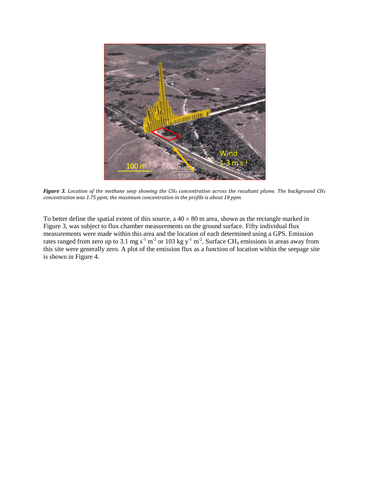

*Figure 3. Location of the methane seep showing the CH<sup>4</sup> concentration across the resultant plume. The background CH<sup>4</sup> concentration was 1.75 ppm; the maximum concentration in the profile is about 18 ppm.*

To better define the spatial extent of this source, a  $40 \times 80$  m area, shown as the rectangle marked in Figure 3, was subject to flux chamber measurements on the ground surface. Fifty individual flux measurements were made within this area and the location of each determined using a GPS. Emission rates ranged from zero up to 3.1 mg s<sup>-1</sup> m<sup>-2</sup> or 103 kg y<sup>-1</sup> m<sup>-2</sup>. Surface CH<sub>4</sub> emissions in areas away from this site were generally zero. A plot of the emission flux as a function of location within the seepage site is shown in Figure 4.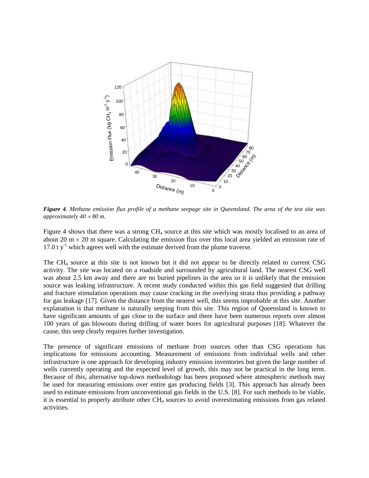

*Figure 4. Methane emission flux profile of a methane seepage site in Queensland. The area of the test site was approximately 40 80 m.*

Figure 4 shows that there was a strong CH<sup>4</sup> source at this site which was mostly localised to an area of about 20 m  $\times$  20 m square. Calculating the emission flux over this local area yielded an emission rate of 17.0  $t$  y<sup>-1</sup> which agrees well with the estimate derived from the plume traverse.

The CH<sup>4</sup> source at this site is not known but it did not appear to be directly related to current CSG activity. The site was located on a roadside and surrounded by agricultural land. The nearest CSG well was about 2.5 km away and there are no buried pipelines in the area so it is unlikely that the emission source was leaking infrastructure. A recent study conducted within this gas field suggested that drilling and fracture stimulation operations may cause cracking in the overlying strata thus providing a pathway for gas leakage [17]. Given the distance from the nearest well, this seems improbable at this site. Another explanation is that methane is naturally seeping from this site. This region of Queensland is known to have significant amounts of gas close to the surface and there have been numerous reports over almost 100 years of gas blowouts during drilling of water bores for agricultural purposes [18]. Whatever the cause, this seep clearly requires further investigation.

The presence of significant emissions of methane from sources other than CSG operations has implications for emissions accounting. Measurement of emissions from individual wells and other infrastructure is one approach for developing industry emission inventories but given the large number of wells currently operating and the expected level of growth, this may not be practical in the long term. Because of this, alternative top-down methodology has been proposed where atmospheric methods may be used for measuring emissions over entire gas producing fields [3]. This approach has already been used to estimate emissions from unconventional gas fields in the U.S. [8]. For such methods to be viable, it is essential to properly attribute other  $CH<sub>4</sub>$  sources to avoid overestimating emissions from gas related activities.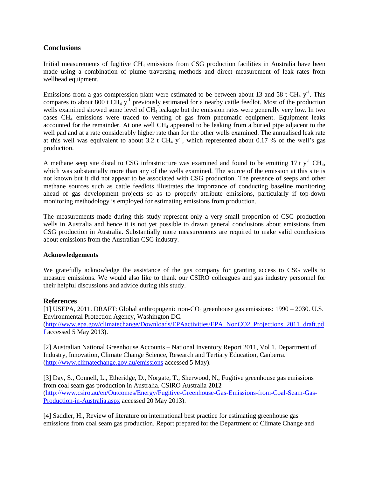# **Conclusions**

Initial measurements of fugitive  $CH_4$  emissions from CSG production facilities in Australia have been made using a combination of plume traversing methods and direct measurement of leak rates from wellhead equipment.

Emissions from a gas compression plant were estimated to be between about 13 and 58 t CH<sub>4</sub>  $y<sup>-1</sup>$ . This compares to about 800 t  $\text{CH}_4$  y<sup>-1</sup> previously estimated for a nearby cattle feedlot. Most of the production wells examined showed some level of CH<sub>4</sub> leakage but the emission rates were generally very low. In two cases  $CH<sub>4</sub>$  emissions were traced to venting of gas from pneumatic equipment. Equipment leaks accounted for the remainder. At one well CH<sup>4</sup> appeared to be leaking from a buried pipe adjacent to the well pad and at a rate considerably higher rate than for the other wells examined. The annualised leak rate at this well was equivalent to about 3.2 t CH<sub>4</sub>  $y^{-1}$ , which represented about 0.17 % of the well's gas production.

A methane seep site distal to CSG infrastructure was examined and found to be emitting 17 t  $v^{-1}$  CH<sub>4</sub>, which was substantially more than any of the wells examined. The source of the emission at this site is not known but it did not appear to be associated with CSG production. The presence of seeps and other methane sources such as cattle feedlots illustrates the importance of conducting baseline monitoring ahead of gas development projects so as to properly attribute emissions, particularly if top-down monitoring methodology is employed for estimating emissions from production.

The measurements made during this study represent only a very small proportion of CSG production wells in Australia and hence it is not yet possible to drawn general conclusions about emissions from CSG production in Australia. Substantially more measurements are required to make valid conclusions about emissions from the Australian CSG industry.

### **Acknowledgements**

We gratefully acknowledge the assistance of the gas company for granting access to CSG wells to measure emissions. We would also like to thank our CSIRO colleagues and gas industry personnel for their helpful discussions and advice during this study.

## **References**

[1] USEPA, 2011. DRAFT: Global anthropogenic non- $CO_2$  greenhouse gas emissions: 1990 – 2030. U.S. Environmental Protection Agency, Washington DC.

[\(http://www.epa.gov/climatechange/Downloads/EPAactivities/EPA\\_NonCO2\\_Projections\\_2011\\_draft.pd](http://www.epa.gov/climatechange/Downloads/EPAactivities/EPA_NonCO2_Projections_2011_draft.pdf) [f](http://www.epa.gov/climatechange/Downloads/EPAactivities/EPA_NonCO2_Projections_2011_draft.pdf) accessed 5 May 2013).

[2] Australian National Greenhouse Accounts – National Inventory Report 2011, Vol 1. Department of Industry, Innovation, Climate Change Science, Research and Tertiary Education, Canberra. [\(http://www.climatechange.gov.au/emissions](http://www.climatechange.gov.au/emissions) accessed 5 May).

[3] Day, S., Connell, L., Etheridge, D., Norgate, T., Sherwood, N., Fugitive greenhouse gas emissions from coal seam gas production in Australia. CSIRO Australia **2012** [\(http://www.csiro.au/en/Outcomes/Energy/Fugitive-Greenhouse-Gas-Emissions-from-Coal-Seam-Gas-](http://www.csiro.au/en/Outcomes/Energy/Fugitive-Greenhouse-Gas-Emissions-from-Coal-Seam-Gas-Production-in-Australia.aspx)[Production-in-Australia.aspx](http://www.csiro.au/en/Outcomes/Energy/Fugitive-Greenhouse-Gas-Emissions-from-Coal-Seam-Gas-Production-in-Australia.aspx) accessed 20 May 2013).

[4] Saddler, H., Review of literature on international best practice for estimating greenhouse gas emissions from coal seam gas production. Report prepared for the Department of Climate Change and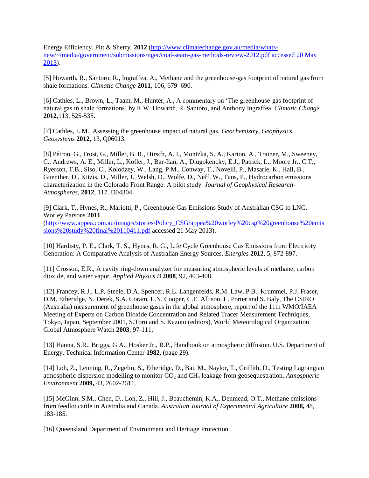Energy Efficiency. Pitt & Sherry. **2012** [\(http://www.climatechange.gov.au/media/whats](http://www.climatechange.gov.au/media/whats-new/~/media/government/submissions/nger/coal-seam-gas-methods-review-2012.pdf%20accessed%2020%20May%202013)[new/~/media/government/submissions/nger/coal-seam-gas-methods-review-2012.pdf accessed 20 May](http://www.climatechange.gov.au/media/whats-new/~/media/government/submissions/nger/coal-seam-gas-methods-review-2012.pdf%20accessed%2020%20May%202013)  [2013\)](http://www.climatechange.gov.au/media/whats-new/~/media/government/submissions/nger/coal-seam-gas-methods-review-2012.pdf%20accessed%2020%20May%202013).

[5] Howarth, R., Santoro, R., Ingraffea, A., Methane and the greenhouse-gas footprint of natural gas from shale formations. *Climatic Change* **2011**, 106, 679–690.

[6] Cathles, L., Brown, L., Taam, M., Hunter, A., A commentary on 'The greenhouse-gas footprint of natural gas in shale formations' by R.W. Howarth, R. Santoro, and Anthony Ingraffea. *Climatic Change* **2012**,113, 525-535.

[7] Cathles, L.M., Assessing the greenhouse impact of natural gas. *Geochemistry, Geophysics, Geosystems* **2012**, 13, Q06013.

[8] Pétron, G., Frost, G., Miller, B. R., Hirsch, A. I., Montzka, S. A., Karion, A., Trainer, M., Sweeney, C., Andrews, A. E., Miller, L., Kofler, J., Bar-Ilan, A., Dlugokencky, E.J., Patrick, L., Moore Jr., C.T., Ryerson, T.B., Siso, C., Kolodzey, W., Lang, P.M., Conway, T., Novelli, P., Masarie, K., Hall, B., Guenther, D., Kitzis, D., Miller, J., Welsh, D., Wolfe, D., Neff, W., Tans, P., Hydrocarbon emissions characterization in the Colorado Front Range: A pilot study. *Journal of Geophysical Research-Atmospheres*, **2012**, 117. D04304.

[9] Clark, T., Hynes, R., Mariotti, P., Greenhouse Gas Emissions Study of Australian CSG to LNG. Worley Parsons **2011**.

[\(http://www.appea.com.au/images/stories/Policy\\_CSG/appea%20worley%20csg%20greenhouse%20emis](http://www.appea.com.au/images/stories/Policy_CSG/appea%20worley%20csg%20greenhouse%20emissions%20study%20final%20110411.pdf) [sions%20study%20final%20110411.pdf](http://www.appea.com.au/images/stories/Policy_CSG/appea%20worley%20csg%20greenhouse%20emissions%20study%20final%20110411.pdf) accessed 21 May 2013).

[10] Hardisty, P. E., Clark, T. S., Hynes, R. G., Life Cycle Greenhouse Gas Emissions from Electricity Generation: A Comparative Analysis of Australian Energy Sources. *Energies* **2012**, 5, 872-897.

[11] Crosson, E.R., A cavity ring-down analyzer for measuring atmospheric levels of methane, carbon dioxide, and water vapor. *Applied Physics B* **2008**, 92, 403-408.

[12] Francey, R.J., L.P. Steele, D.A. Spencer, R.L. Langenfelds, R.M. Law, P.B., Krummel, P.J. Fraser, D.M. Etheridge, N. Derek, S.A. Coram, L.N. Cooper, C.E. Allison, L. Porter and S. Baly, The CSIRO (Australia) measurement of greenhouse gases in the global atmosphere, report of the 11th WMO/IAEA Meeting of Experts on Carbon Dioxide Concentration and Related Tracer Measurement Techniques, Tokyo, Japan, September 2001, S.Toru and S. Kazuto (editors), World Meteorological Organization Global Atmosphere Watch **2003**, 97-111,

[13] Hanna, S.R., Briggs, G.A., Hosker Jr., R.P., Handbook on atmospheric diffusion. U.S. Department of Energy, Technical Information Center **1982**, (page 29).

[14] Loh, Z., Leuning, R., Zegelin, S., Etheridge, D., Bai, M., Naylor, T., Griffith, D., Testing Lagrangian atmospheric dispersion modelling to monitor CO<sub>2</sub> and CH<sub>4</sub> leakage from geosequestration. *Atmospheric Environment* **2009,** 43, 2602-2611.

[15] McGinn, S.M., Chen, D., Loh, Z., Hill, J., Beauchemin, K.A., Denmead, O.T., Methane emissions from feedlot cattle in Australia and Canada. *Australian Journal of Experimental Agriculture* **2008,** 48, 183-185.

[16] Queensland Department of Environment and Heritage Protection